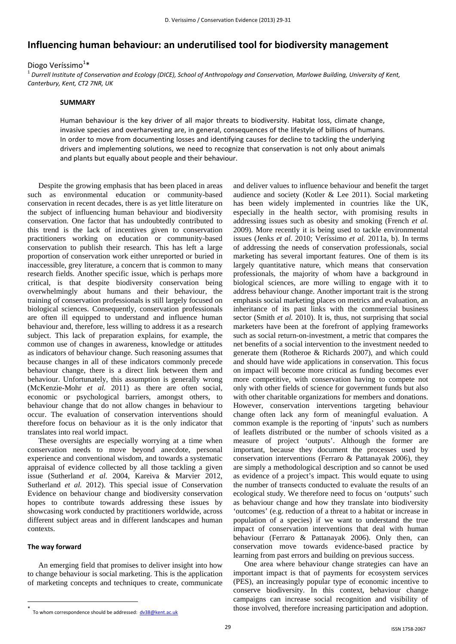# **Influencing human behaviour: an underutilised tool for biodiversity management**

## Diogo Veríssimo<sup>1</sup>\*

 $^1$  Durrell Institute of Conservation and Ecology (DICE), School of Anthropology and Conservation, Marlowe Building, University of Kent, *Canterbury, Kent, CT2 7NR, UK* 

#### **SUMMARY**

Human behaviour is the key driver of all major threats to biodiversity. Habitat loss, climate change, invasive species and overharvesting are, in general, consequences of the lifestyle of billions of humans. In order to move from documenting losses and identifying causes for decline to tackling the underlying drivers and implementing solutions, we need to recognize that conservation is not only about animals and plants but equally about people and their behaviour.

Despite the growing emphasis that has been placed in areas such as environmental education or community-based conservation in recent decades, there is as yet little literature on the subject of influencing human behaviour and biodiversity conservation. One factor that has undoubtedly contributed to this trend is the lack of incentives given to conservation practitioners working on education or community-based conservation to publish their research. This has left a large proportion of conservation work either unreported or buried in inaccessible, grey literature, a concern that is common to many research fields. Another specific issue, which is perhaps more critical, is that despite biodiversity conservation being overwhelmingly about humans and their behaviour, the training of conservation professionals is still largely focused on biological sciences. Consequently, conservation professionals are often ill equipped to understand and influence human behaviour and, therefore, less willing to address it as a research subject. This lack of preparation explains, for example, the common use of changes in awareness, knowledge or attitudes as indicators of behaviour change. Such reasoning assumes that because changes in all of these indicators commonly precede behaviour change, there is a direct link between them and behaviour. Unfortunately, this assumption is generally wrong (McKenzie-Mohr *et al.* 2011) as there are often social, economic or psychological barriers, amongst others, to behaviour change that do not allow changes in behaviour to occur. The evaluation of conservation interventions should therefore focus on behaviour as it is the only indicator that translates into real world impact.

These oversights are especially worrying at a time when conservation needs to move beyond anecdote, personal experience and conventional wisdom, and towards a systematic appraisal of evidence collected by all those tackling a given issue (Sutherland *et al.* 2004, Kareiva & Marvier 2012, Sutherland *et al.* 2012). This special issue of Conservation Evidence on behaviour change and biodiversity conservation hopes to contribute towards addressing these issues by showcasing work conducted by practitioners worldwide, across different subject areas and in different landscapes and human contexts.

### **The way forward**

1

An emerging field that promises to deliver insight into how to change behaviour is social marketing. This is the application of marketing concepts and techniques to create, communicate and deliver values to influence behaviour and benefit the target audience and society (Kotler & Lee 2011). Social marketing has been widely implemented in countries like the UK, especially in the health sector, with promising results in addressing issues such as obesity and smoking (French *et al.* 2009). More recently it is being used to tackle environmental issues (Jenks *et al.* 2010; Veríssimo *et al.* 2011a, b). In terms of addressing the needs of conservation professionals, social marketing has several important features. One of them is its largely quantitative nature, which means that conservation professionals, the majority of whom have a background in biological sciences, are more willing to engage with it to address behaviour change. Another important trait is the strong emphasis social marketing places on metrics and evaluation, an inheritance of its past links with the commercial business sector (Smith *et al.* 2010). It is, thus, not surprising that social marketers have been at the forefront of applying frameworks such as social return-on-investment, a metric that compares the net benefits of a social intervention to the investment needed to generate them (Rotheroe & Richards 2007), and which could and should have wide applications in conservation. This focus on impact will become more critical as funding becomes ever more competitive, with conservation having to compete not only with other fields of science for government funds but also with other charitable organizations for members and donations. However, conservation interventions targeting behaviour change often lack any form of meaningful evaluation. A common example is the reporting of 'inputs' such as numbers of leaflets distributed or the number of schools visited as a measure of project 'outputs'. Although the former are important, because they document the processes used by conservation interventions (Ferraro & Pattanayak 2006), they are simply a methodological description and so cannot be used as evidence of a project's impact. This would equate to using the number of transects conducted to evaluate the results of an ecological study. We therefore need to focus on 'outputs' such as behaviour change and how they translate into biodiversity 'outcomes' (e.g. reduction of a threat to a habitat or increase in population of a species) if we want to understand the true impact of conservation interventions that deal with human behaviour (Ferraro & Pattanayak 2006). Only then, can conservation move towards evidence-based practice by learning from past errors and building on previous success.

One area where behaviour change strategies can have an important impact is that of payments for ecosystem services (PES), an increasingly popular type of economic incentive to conserve biodiversity. In this context, behaviour change campaigns can increase social recognition and visibility of those involved, therefore increasing participation and adoption.

<sup>\*</sup> To whom correspondence should be addressed:  $dv38@kent.ac.uk$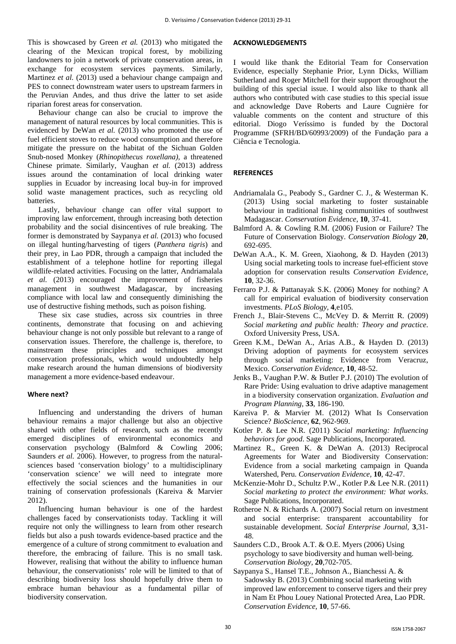This is showcased by Green *et al.* (2013) who mitigated the clearing of the Mexican tropical forest, by mobilizing landowners to join a network of private conservation areas, in exchange for ecosystem services payments. Similarly, Martinez *et al.* (2013) used a behaviour change campaign and PES to connect downstream water users to upstream farmers in the Peruvian Andes, and thus drive the latter to set aside riparian forest areas for conservation.

Behaviour change can also be crucial to improve the management of natural resources by local communities. This is evidenced by DeWan *et al.* (2013) who promoted the use of fuel efficient stoves to reduce wood consumption and therefore mitigate the pressure on the habitat of the Sichuan Golden Snub-nosed Monkey (*Rhinopithecus roxellana),* a threatened Chinese primate. Similarly, Vaughan *et al.* (2013) address issues around the contamination of local drinking water supplies in Ecuador by increasing local buy-in for improved solid waste management practices, such as recycling old batteries.

Lastly, behaviour change can offer vital support to improving law enforcement, through increasing both detection probability and the social disincentives of rule breaking. The former is demonstrated by Saypanya *et al.* (2013) who focused on illegal hunting/harvesting of tigers (*Panthera tigris*) and their prey, in Lao PDR, through a campaign that included the establishment of a telephone hotline for reporting illegal wildlife-related activities. Focusing on the latter, Andriamalala *et al.* (2013) encouraged the improvement of fisheries management in southwest Madagascar, by increasing compliance with local law and consequently diminishing the use of destructive fishing methods, such as poison fishing.

These six case studies, across six countries in three continents, demonstrate that focusing on and achieving behaviour change is not only possible but relevant to a range of conservation issues. Therefore, the challenge is, therefore, to mainstream these principles and techniques amongst conservation professionals, which would undoubtedly help make research around the human dimensions of biodiversity management a more evidence-based endeavour.

#### **Where next?**

Influencing and understanding the drivers of human behaviour remains a major challenge but also an objective shared with other fields of research, such as the recently emerged disciplines of environmental economics and conservation psychology (Balmford & Cowling 2006; Saunders *et al.* 2006). However, to progress from the naturalsciences based 'conservation biology' to a multidisciplinary 'conservation science' we will need to integrate more effectively the social sciences and the humanities in our training of conservation professionals (Kareiva & Marvier 2012).

Influencing human behaviour is one of the hardest challenges faced by conservationists today. Tackling it will require not only the willingness to learn from other research fields but also a push towards evidence-based practice and the emergence of a culture of strong commitment to evaluation and therefore, the embracing of failure. This is no small task. However, realising that without the ability to influence human behaviour, the conservationists' role will be limited to that of describing biodiversity loss should hopefully drive them to embrace human behaviour as a fundamental pillar of biodiversity conservation.

#### **ACKNOWLEDGEMENTS**

I would like thank the Editorial Team for Conservation Evidence, especially Stephanie Prior, Lynn Dicks, William Sutherland and Roger Mitchell for their support throughout the building of this special issue. I would also like to thank all authors who contributed with case studies to this special issue and acknowledge Dave Roberts and Laure Cugnière for valuable comments on the content and structure of this editorial. Diogo Veríssimo is funded by the Doctoral Programme (SFRH/BD/60993/2009) of the Fundação para a Ciência e Tecnologia.

## **REFERENCES**

- Andriamalala G., Peabody S., Gardner C. J., & Westerman K. (2013) Using social marketing to foster sustainable behaviour in traditional fishing communities of southwest Madagascar. *Conservation Evidence,* **10**, 37-41.
- Balmford A. & Cowling R.M. (2006) Fusion or Failure? The Future of Conservation Biology. *Conservation Biology* **20**, 692-695.
- DeWan A.A., K. M. Green, Xiaohong, & D. Hayden (2013) Using social marketing tools to increase fuel-efficient stove adoption for conservation results *Conservation Evidence*, **10**, 32-36.
- Ferraro P.J. & Pattanayak S.K. (2006) Money for nothing? A call for empirical evaluation of biodiversity conservation investments. *PLoS Biology,* **4**,e105.
- French J., Blair-Stevens C., McVey D. & Merritt R. (2009) *Social marketing and public health: Theory and practice*. Oxford University Press, USA.
- Green K.M., DeWan A., Arias A.B., & Hayden D. (2013) Driving adoption of payments for ecosystem services through social marketing: Evidence from Veracruz, Mexico. *Conservation Evidence*, **10**, 48-52.
- Jenks B., Vaughan P.W. & Butler P.J. (2010) The evolution of Rare Pride: Using evaluation to drive adaptive management in a biodiversity conservation organization. *Evaluation and Program Planning,* **33**, 186-190.
- Kareiva P. & Marvier M. (2012) What Is Conservation Science? *BioScience,* **62**, 962-969.
- Kotler P. & Lee N.R. (2011) *Social marketing: Influencing behaviors for good*. Sage Publications, Incorporated.
- Martinez R., Green K. & DeWan A. (2013) Reciprocal Agreements for Water and Biodiversity Conservation: Evidence from a social marketing campaign in Quanda Watershed, Peru. *Conservation Evidence,* **10**, 42-47.
- McKenzie-Mohr D., Schultz P.W., Kotler P.& Lee N.R. (2011) *Social marketing to protect the environment: What works*. Sage Publications, Incorporated.
- Rotheroe N. & Richards A. (2007) Social return on investment and social enterprise: transparent accountability for sustainable development. *Social Enterprise Journal,* **3**,31- 48.
- Saunders C.D., Brook A.T. & O.E. Myers (2006) Using psychology to save biodiversity and human well‐being. *Conservation Biology,* **20**,702-705.
- Saypanya S., Hansel T.E., Johnson A., Bianchessi A. & Sadowsky B. (2013) Combining social marketing with improved law enforcement to conserve tigers and their prey in Nam Et Phou Louey National Protected Area, Lao PDR. *Conservation Evidence,* **10**, 57-66.